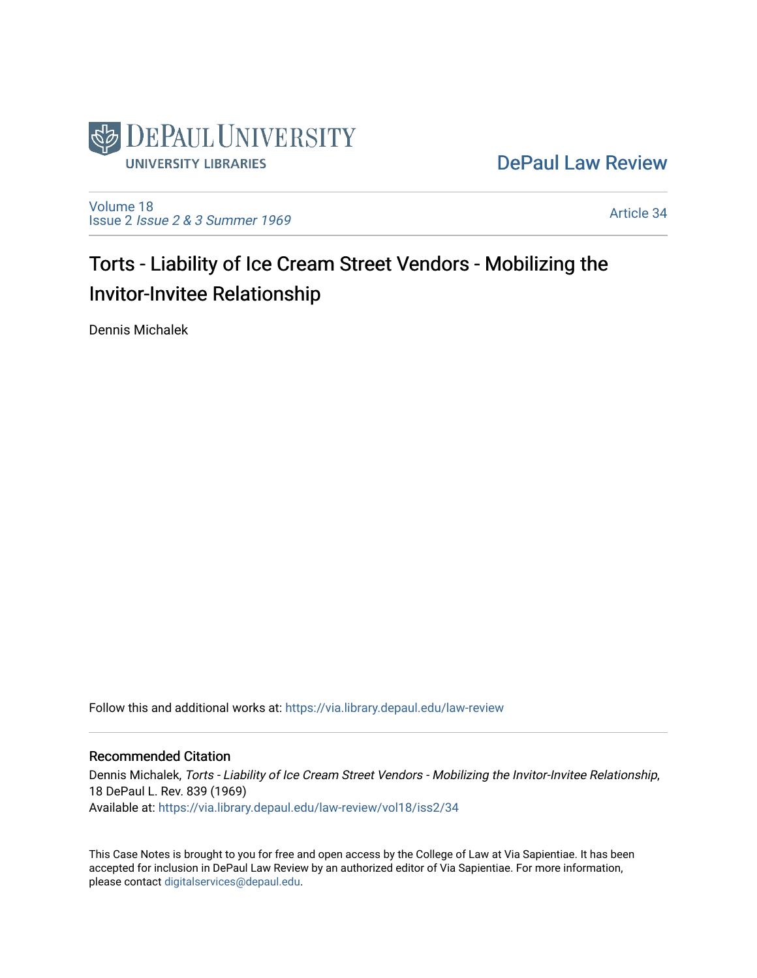

[DePaul Law Review](https://via.library.depaul.edu/law-review) 

[Volume 18](https://via.library.depaul.edu/law-review/vol18) Issue 2 [Issue 2 & 3 Summer 1969](https://via.library.depaul.edu/law-review/vol18/iss2) 

[Article 34](https://via.library.depaul.edu/law-review/vol18/iss2/34) 

# Torts - Liability of Ice Cream Street Vendors - Mobilizing the Invitor-Invitee Relationship

Dennis Michalek

Follow this and additional works at: [https://via.library.depaul.edu/law-review](https://via.library.depaul.edu/law-review?utm_source=via.library.depaul.edu%2Flaw-review%2Fvol18%2Fiss2%2F34&utm_medium=PDF&utm_campaign=PDFCoverPages) 

## Recommended Citation

Dennis Michalek, Torts - Liability of Ice Cream Street Vendors - Mobilizing the Invitor-Invitee Relationship, 18 DePaul L. Rev. 839 (1969) Available at: [https://via.library.depaul.edu/law-review/vol18/iss2/34](https://via.library.depaul.edu/law-review/vol18/iss2/34?utm_source=via.library.depaul.edu%2Flaw-review%2Fvol18%2Fiss2%2F34&utm_medium=PDF&utm_campaign=PDFCoverPages)

This Case Notes is brought to you for free and open access by the College of Law at Via Sapientiae. It has been accepted for inclusion in DePaul Law Review by an authorized editor of Via Sapientiae. For more information, please contact [digitalservices@depaul.edu.](mailto:digitalservices@depaul.edu)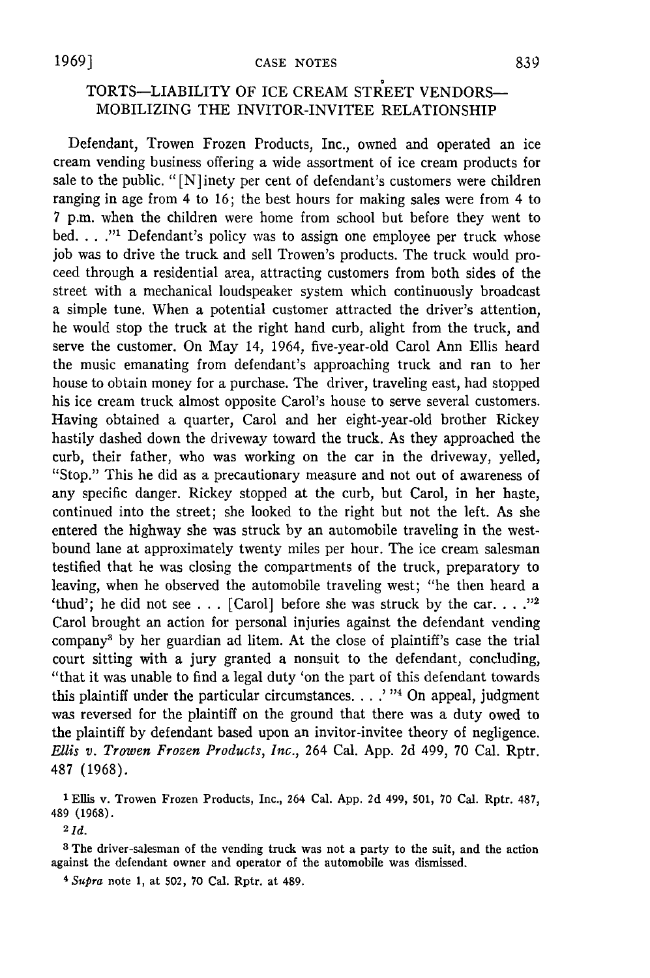## TORTS-LIABILITY OF ICE CREAM STREET VENDORS-MOBILIZING THE INVITOR-INVITEE RELATIONSHIP

Defendant, Trowen Frozen Products, Inc., owned and operated an ice cream vending business offering a wide assortment of ice cream products for sale to the public. "[N]inety per cent of defendant's customers were children ranging in age from 4 to 16; the best hours for making sales were from 4 to 7 p.m. when the children were home from school but before they went to bed. . . ."<sup>1</sup> Defendant's policy was to assign one employee per truck whose job was to drive the truck and sell Trowen's products. The truck would proceed through a residential area, attracting customers from both sides of the street with a mechanical loudspeaker system which continuously broadcast a simple tune. When a potential customer attracted the driver's attention, he would stop the truck at the right hand curb, alight from the truck, and serve the customer. On May 14, 1964, five-year-old Carol Ann Ellis heard the music emanating from defendant's approaching truck and ran to her house to obtain money for a purchase. The driver, traveling east, had stopped his ice cream truck almost opposite Carol's house to serve several customers. Having obtained a quarter, Carol and her eight-year-old brother Rickey hastily dashed down the driveway toward the truck. As they approached the curb, their father, who was working on the car in the driveway, yelled, "Stop." This he did as a precautionary measure and not out of awareness of any specific danger. Rickey stopped at the curb, but Carol, in her haste, continued into the street; she looked to the right but not the left. As she entered the highway she was struck by an automobile traveling in the westbound lane at approximately twenty miles per hour. The ice cream salesman testified that he was closing the compartments of the truck, preparatory to leaving, when he observed the automobile traveling west; "he then heard a 'thud'; he did not see  $\ldots$  [Carol] before she was struck by the car.  $\ldots$ <sup>22</sup> Carol brought an action for personal injuries against the defendant vending company3 by her guardian ad litem. At the close of plaintiff's case the trial court sitting with a jury granted a nonsuit to the defendant, concluding, "that it was unable to find a legal duty 'on the part of this defendant towards this plaintiff under the particular circumstances. . **..** ' "4 On appeal, judgment was reversed for the plaintiff on the ground that there was a duty owed to the plaintiff by defendant based upon an invitor-invitee theory of negligence. *Ellis v. Trowen Frozen Products, Inc.,* 264 Cal. App. 2d 499, 70 Cal. Rptr. 487 (1968).

**1** Ellis v. Trowen Frozen Products, Inc., 264 Cal. App. 2d 499, 501, 70 Cal. Rptr. 487, 489 (1968).

 $2$   $Id.$ 

**3** The driver-salesman of the vending truck was not a party to the suit, and the action against the defendant owner and operator of the automobile was dismissed.

4 *Supra* note 1, at 502, 70 Cal. Rptr. at 489.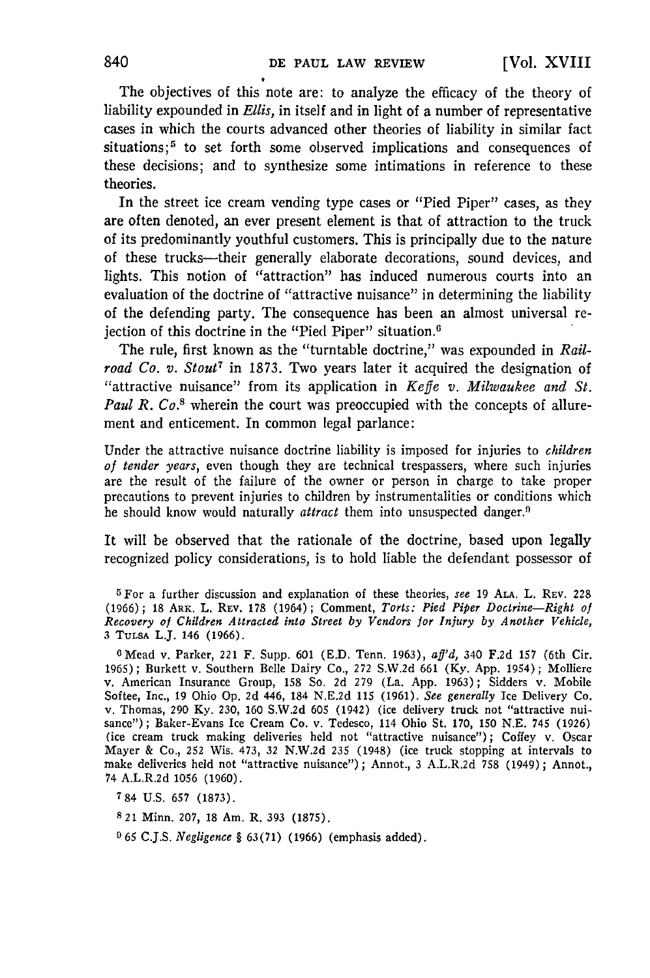The objectives of this note are: to analyze the efficacy of the theory of liability expounded in *Ellis,* in itself and in light of a number of representative cases in which the courts advanced other theories of liability in similar fact situations;<sup>5</sup> to set forth some observed implications and consequences of these decisions; and to synthesize some intimations in reference to these theories.

In the street ice cream vending type cases or "Pied Piper" cases, as they are often denoted, an ever present element is that of attraction to the truck of its predominantly youthful customers. This is principally due to the nature of these trucks-their generally elaborate decorations, sound devices, and lights. This notion of "attraction" has induced numerous courts into an evaluation of the doctrine of "attractive nuisance" in determining the liability of the defending party. The consequence has been an almost universal rejection of this doctrine in the "Pied Piper" situation.<sup>6</sup>

The rule, first known as the "turntable doctrine," was expounded in *Railroad Co. v. Stout*<sup>7</sup> in 1873. Two years later it acquired the designation of "attractive nuisance" from its application in *Keffe v. Milwaukee and St. Paul R. Co.8* wherein the court was preoccupied with the concepts of allurement and enticement. In common legal parlance:

Under the attractive nuisance doctrine liability is imposed for injuries to *children of tender years,* even though they are technical trespassers, where such injuries are the result of the failure of the owner or person in charge to take proper precautions to prevent injuries to children by instrumentalities or conditions which he should know would naturally *attract* them into unsuspected danger.<sup>9</sup>

It will be observed that the rationale of the doctrine, based upon legally recognized policy considerations, is to hold liable the defendant possessor of

**5** For a further discussion and explanation of these theories, see **19 ALA.** L. REV. **228** (1966); 18 ARK. L. REV. **178** (1964); Comment, *Torts: Pied Piper Doctrine-Right of Recovery of Children Attracted into Street by Vendors for Injury by Another Vehicle,* <sup>3</sup>**TULSA** L.J. 146 **(1966).**

<sup>6</sup> Mead v. Parker, 221 F. Supp. 601 (E.D. Tenn. 1963),  $aff'd$ , 340 F.2d 157 (6th Cir. 1965) ; Burkett v. Southern Belle Dairy Co., 272 S.W.2d 661 (Ky. App. 1954) ; Molliere v. American Insurance Group, 158 So. 2d 279 (La. App. 1963) ; Sidders v. Mobile Softee, Inc., 19 Ohio Op. 2d 446, 184 N.E.2d 115 (1961). *See generally* Ice Delivery Co. v. Thomas, 290 Ky. 230, 160 S.W.2d 605 (1942) (ice delivery truck not "attractive nuisance") ; Baker-Evans Ice Cream Co. v. Tedesco, 114 Ohio St. 170, 150 N.E. 745 (1926) (ice cream truck making deliveries held not "attractive nuisance"); Coffey v. Oscar Mayer & Co., 252 Wis. 473, 32 N.W.2d 235 (1948) (ice truck stopping at intervals to make deliveries held not "attractive nuisance"); Annot., 3 A.L.R.2d 758 (1949); Annot., 74 A.L.R.2d 1056 (1960).

**784** U.S. 657 (1873).

*8* 21 Minn. 207, 18 Am. R. 393 (1875).

**9** 65 C.J.S. *Negligence §* 63(71) (1966) (emphasis added).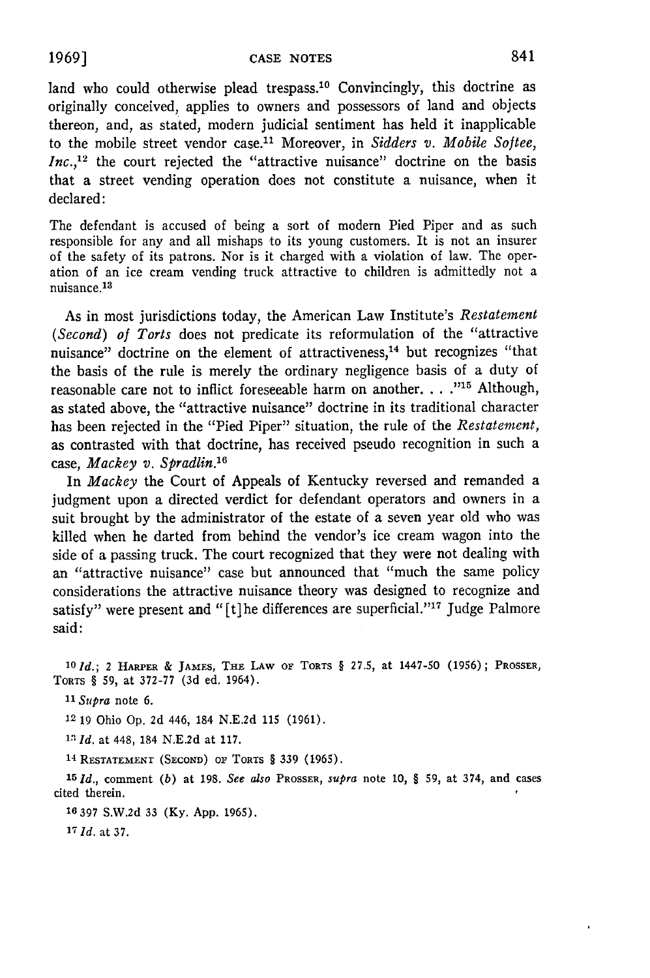land who could otherwise plead trespass.<sup>10</sup> Convincingly, this doctrine as originally conceived, applies to owners and possessors of land and objects thereon, and, as stated, modern judicial sentiment has held it inapplicable to the mobile street vendor case.<sup>11</sup> Moreover, in *Sidders v. Mobile Softee*, *Inc.*,<sup>12</sup> the court rejected the "attractive nuisance" doctrine on the basis that a street vending operation does not constitute a nuisance, when it declared:

The defendant is accused of being a sort of modem Pied Piper and as such responsible for any and all mishaps to its young customers. It is not an insurer of the safety of its patrons. Nor is it charged with a violation of law. The operation of an ice cream vending truck attractive to children is admittedly not a nuisance.<sup>13</sup>

As in most jurisdictions today, the American Law Institute's *Restatement (Second) of Torts* does not predicate its reformulation of the "attractive nuisance" doctrine on the element of attractiveness,<sup>14</sup> but recognizes "that the basis of the rule is merely the ordinary negligence basis of a duty of reasonable care not to inflict foreseeable harm on another. . **. ."** Although, as stated above, the "attractive nuisance" doctrine in its traditional character has been rejected in the "Pied Piper" situation, the rule of the *Restatement,* as contrasted with that doctrine, has received pseudo recognition in such a case, *Mackey v. Spradlin.'6*

In *Mackey* the Court of Appeals of Kentucky reversed and remanded a judgment upon a directed verdict for defendant operators and owners in a suit brought by the administrator of the estate of a seven year old who was killed when he darted from behind the vendor's ice cream wagon into the side of a passing truck. The court recognized that they were not dealing with an "attractive nuisance" case but announced that "much the same policy considerations the attractive nuisance theory was designed to recognize and satisfy" were present and "[t]he differences are superficial."<sup>17</sup> Judge Palmore said:

*101d.;* 2 **HARPER & JAMES, THE** LAW **or TORTS § 27.5,** at 1447-50 (1956); PROSSER, TORTS § **59,** at 372-77 **(3d** ed. 1964).

*11Supra* note 6.

12 19 Ohio Op. 2d 446, 184 N.E.2d **115** (1961).

**<sup>13</sup>***Id.* at 448, 184 N.E.2d at 117.

**<sup>1</sup> <sup>4</sup>**RESTATEMENT **(SECOND) OP TORTS** § 339 (1965).

**<sup>15</sup>***Id.,* comment *(b)* at 198. *See also PROSSER, supra* note **10,** § **59,** at 374, and cases **cited** therein.

*16* 397 S.W.2d 33 (Ky. App. 1965).

*17 Id.* at 37.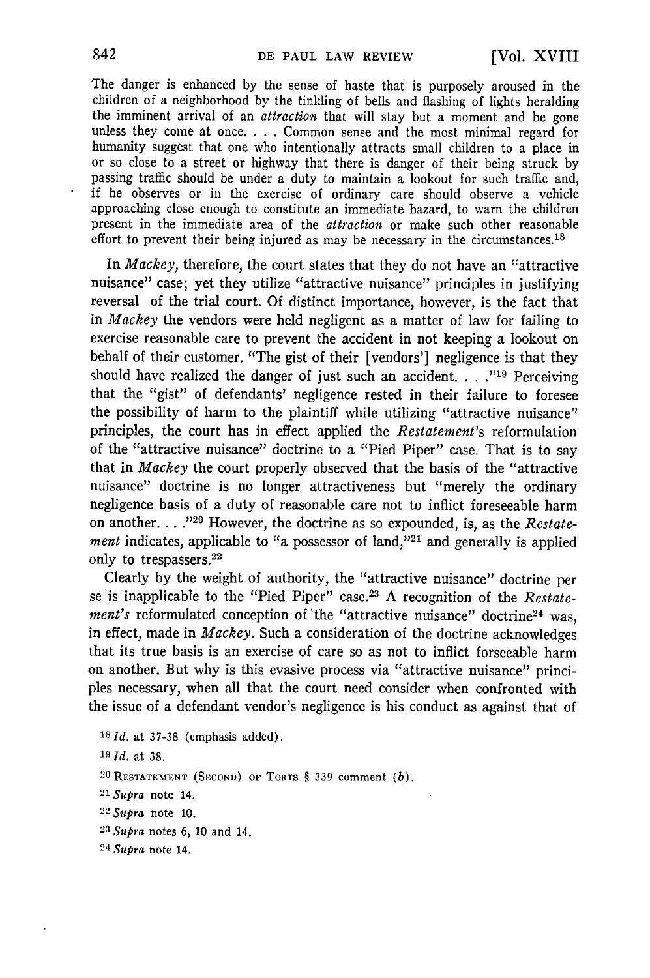The danger is enhanced by the sense of haste that is purposely aroused in the children of a neighborhood by the tinkling of bells and flashing of lights heralding the imminent arrival of an *attraction* that will stay but a moment and be gone unless they come at once. . **.** . Common sense and the most minimal regard for humanity suggest that one who intentionally attracts small children to a place in or so close to a street or highway that there is danger of their being struck by passing traffic should be under a duty to maintain a lookout for such traffic and, if he observes or in the exercise of ordinary care should observe a vehicle approaching close enough to constitute an immediate hazard, to warn the children present in the immediate area of the *attraction* or make such other reasonable effort to prevent their being injured as may be necessary in the circumstances.<sup>18</sup>

In *Mackey,* therefore, the court states that they do not have an "attractive nuisance" case; yet they utilize "attractive nuisance" principles in justifying reversal of the trial court. Of distinct importance, however, is the fact that in *Mackey* the vendors were held negligent as a matter of law for failing to exercise reasonable care to prevent the accident in not keeping a lookout on behalf of their customer. "The gist of their [vendors'] negligence is that they should have realized the danger of just such an accident **. .. "19** Perceiving that the "gist" of defendants' negligence rested in their failure to foresee the possibility of harm to the plaintiff while utilizing "attractive nuisance" principles, the court has in effect applied the *Restatement's* reformulation of the "attractive nuisance" doctrine to a "Pied Piper" case. That is to say that in *Mackey* the court properly observed that the basis of the "attractive nuisance" doctrine is no longer attractiveness but "merely the ordinary negligence basis of a duty of reasonable care not to inflict foreseeable harm on another. . . .<sup>720</sup> However, the doctrine as so expounded, is, as the *Restatement* indicates, applicable to "a possessor of land,"<sup>21</sup> and generally is applied only to trespassers.<sup>22</sup>

Clearly by the weight of authority, the "attractive nuisance" doctrine per se is inapplicable to the "Pied Piper" case.2 3 A recognition of the *Restatement's* reformulated conception of 'the "attractive nuisance" doctrine<sup>24</sup> was, in effect, made in *Mackey.* Such a consideration of the doctrine acknowledges that its true basis is an exercise of care so as not to inflict forseeable harm on another. But why is this evasive process via "attractive nuisance" principles necessary, when all that the court need consider when confronted with the issue of a defendant vendor's negligence is his conduct as against that of

```
181d. at 37-38 (emphasis added).
19Id. at 38. 2 0RESTATEMENT (SECOND) OF TORTS § 339 comment (b).
21Supra note 14.
22Supra note 10.
23Supra notes 6, 10 and 14.
24 Supra note 14.
```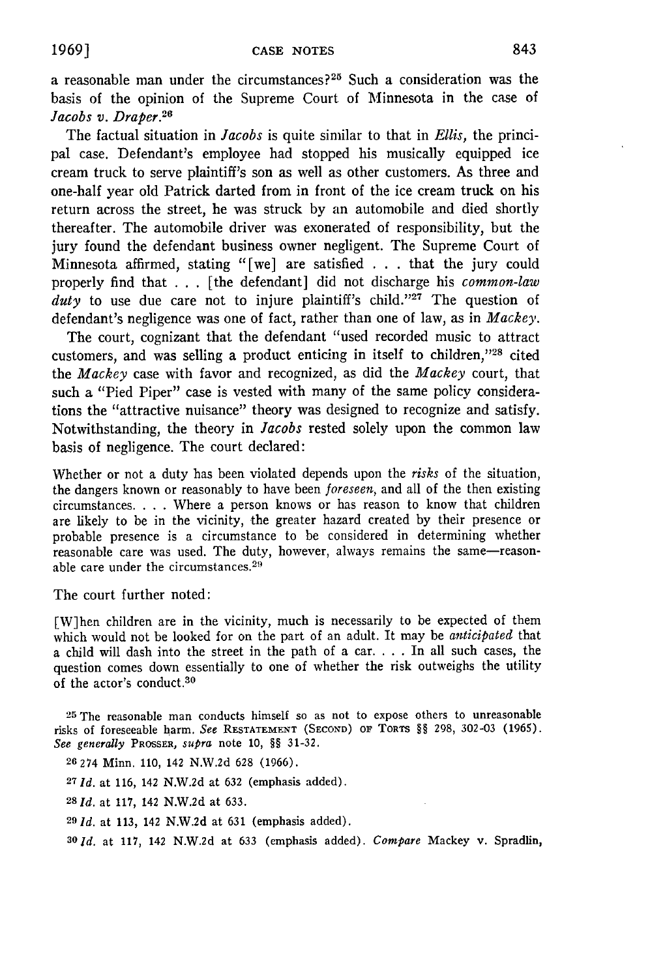a reasonable man under the circumstances?<sup>25</sup> Such a consideration was the basis of the opinion of the Supreme Court of Minnesota in the case of *Jacobs v. Draper.*<sup>26</sup>

The factual situation in *Jacobs* is quite similar to that in *Ellis,* the principal case. Defendant's employee had stopped his musically equipped ice cream truck to serve plaintiff's son as well as other customers. As three and one-half year old Patrick darted from in front of the ice cream truck on his return across the street, he was struck by an automobile and died shortly thereafter. The automobile driver was exonerated of responsibility, but the jury found the defendant business owner negligent. The Supreme Court of Minnesota affirmed, stating "[we] are satisfied . . . that the jury could properly find that . . . [the defendant] did not discharge his *common-law* duty to use due care not to injure plaintiff's child."<sup>27</sup> The question of defendant's negligence was one of fact, rather than one of law, as in *Mackey.*

The court, cognizant that the defendant "used recorded music to attract customers, and was selling a product enticing in itself to children, $^{128}$  cited the *Mackey* case with favor and recognized, as did the *Mackey* court, that such a "Pied Piper" case is vested with many of the same policy considerations the "attractive nuisance" theory was designed to recognize and satisfy. Notwithstanding, the theory in *Jacobs* rested solely upon the common law basis of negligence. The court declared:

Whether or not a duty has been violated depends upon the *risks* of the situation, the dangers known or reasonably to have been *foreseen,* and all of the then existing circumstances. . **.** . Where a person knows or has reason to know that children are likely to be in the vicinity, the greater hazard created by their presence or probable presence is a circumstance to be considered in determining whether reasonable care was used. The duty, however, always remains the same-reasonable care under the circumstances.<sup>29</sup>

The court further noted:

[W]hen children are in the vicinity, much is necessarily to be expected of them which would not be looked for on the part of an adult. It may be *anticipated* that a child will dash into the street in the path of a car. . **.** . In all such cases, the question comes down essentially to one of whether the risk outweighs the utility of the actor's conduct. $30$ 

25 The reasonable man conducts himself so as not to expose others to unreasonable risks of foreseeable harm. *See* **RESTATEMENT (SECOND)** OF TORTS **§§** 298, 302-03 (1965). *See generally* PROSSER, *supra* note **10,** §§ 31-32.

- **26** 274 Minn. **110,** 142 N.W.2d 628 (1966).
- **<sup>27</sup>***Id.* at 116, 142 N.W.2d at 632 (emphasis added).
- **28** *Id.* at 117, 142 N.W.2d at 633.
- <sup>29</sup>*d.* at 113, 142 N.W.2d at 631 (emphasis added).

*SOld.* at 117, 142 N.W.2d at 633 (emphasis added). *Compare* Mackey v. Spradlin,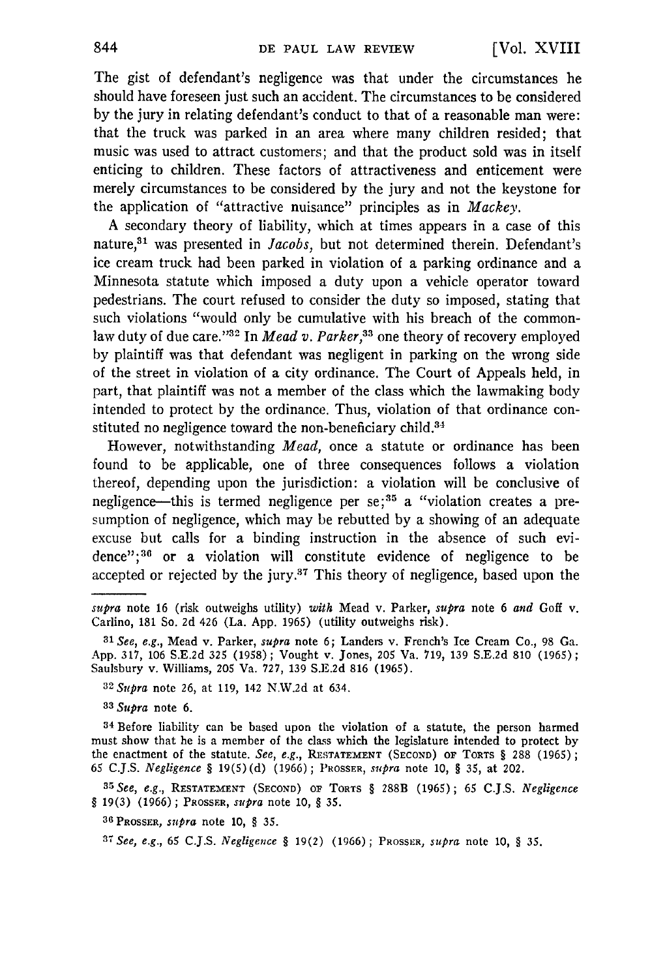The gist of defendant's negligence was that under the circumstances he should have foreseen just such an accident. The circumstances to be considered by the jury in relating defendant's conduct to that of a reasonable man were: that the truck was parked in an area where many children resided; that music was used to attract customers; and that the product sold was in itself enticing to children. These factors of attractiveness and enticement were merely circumstances to be considered by the jury and not the keystone for the application of "attractive nuisance" principles as in *Mackey.*

A secondary theory of liability, which at times appears in a case of this nature,<sup>31</sup> was presented in *Jacobs*, but not determined therein. Defendant's ice cream truck had been parked in violation of a parking ordinance and a Minnesota statute which imposed a duty upon a vehicle operator toward pedestrians. The court refused to consider the duty so imposed, stating that such violations "would only be cumulative with his breach of the commonlaw duty of due care."<sup>32</sup> In *Mead v. Parker*,<sup>33</sup> one theory of recovery employed by plaintiff was that defendant was negligent in parking on the wrong side of the street in violation of a city ordinance. The Court of Appeals held, in part, that plaintiff was not a member of the class which the lawmaking body intended to protect by the ordinance. Thus, violation of that ordinance constituted no negligence toward the non-beneficiary child.<sup>34</sup>

However, notwithstanding *Mead,* once a statute or ordinance has been found to be applicable, one of three consequences follows a violation thereof, depending upon the jurisdiction: a violation will be conclusive of negligence--this is termed negligence per **se; <sup>3</sup> <sup>5</sup>**a "violation creates a presumption of negligence, which may be rebutted by a showing of an adequate excuse but calls for a binding instruction in the absence of such evidence";<sup>36</sup> or a violation will constitute evidence of negligence to be accepted or rejected by the jury.<sup>37</sup> This theory of negligence, based upon the

**32** *Supra* note 26, at 119, 142 N.W.2d at 634.

*<sup>33</sup>Supra* note 6.

**<sup>34</sup>**Before liability can be based upon the violation of a statute, the person harmed must show that he is a member of the class which the legislature intended to protect by the enactment of the statute. *See, e.g.,* **RESTATEMENT (SECOND) OF** TORTS § 288 (1965); 65 C.J.S. *Negligence §* 19(5) (d) (1966) **;** 'ROSSER, *supra* note 10, *§* 35, at 202.

**<sup>35</sup>***See, e.g.,* **RESTATEMENT (SECOND) OF** TORTS § 288B (1965); 65 C.J.S. *Negligence* § **19(3)** (1966) **;** PROSSER, supra note 10, § 35.

**<sup>36</sup>**PROSSER, *supra* note 10, *§* 35.

**<sup>37</sup>***See, e.g.,* **65** C.J.S. *Negligence §* 19(2) (1966) **;** PROSSER, *supra* note 10, *§* 35.

*supra* note 16 (risk outweighs utility) *with* Mead v. Parker, *supra* note 6 *and* Goff v. Carlino, 181 So. **2d** 426 (La. App. 1965) (utility outweighs risk).

**<sup>31</sup>** *See, e.g.,* Mead v. Parker, *supra* note **6;** Landers v. French's Ice Cream Co., 98 Ga. App. 317, 106 S.E.2d 325 (1958) **;** Vought v. Jones, **205** Va. 719, 139 S.E.2d **810** (1965); Saulsbury v. Williams, 205 Va. 727, 139 S.E.2d 816 (1965).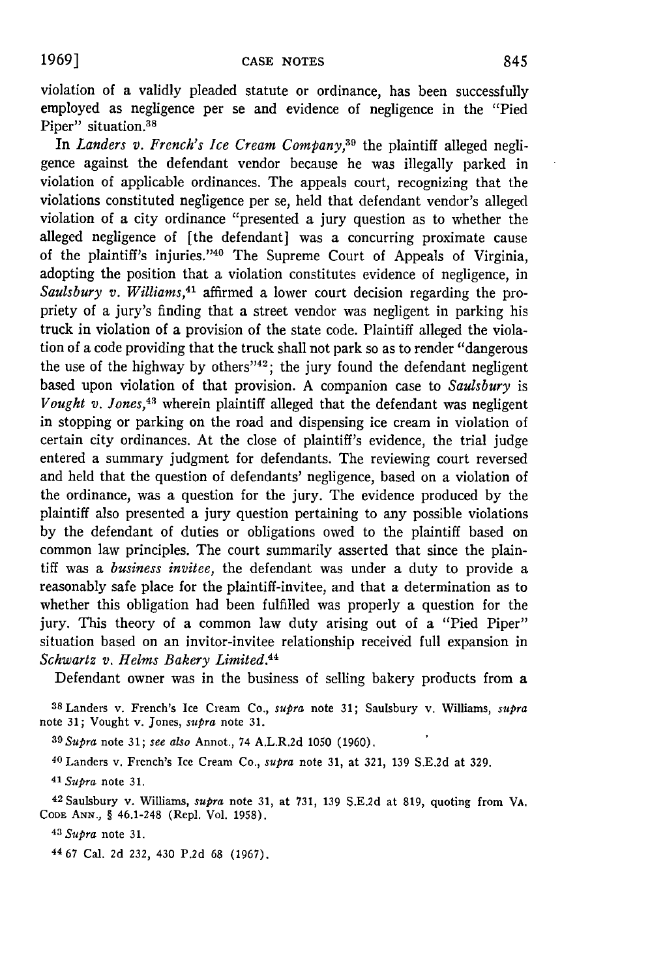violation of a validly pleaded statute or ordinance, has been successfully employed as negligence per se and evidence of negligence in the "Pied Piper" situation.<sup>38</sup>

In *Landers v. French's Ice Cream Company*,<sup>39</sup> the plaintiff alleged negligence against the defendant vendor because he was illegally parked in violation of applicable ordinances. The appeals court, recognizing that the violations constituted negligence per se, held that defendant vendor's alleged violation of a city ordinance "presented a jury question as to whether the alleged negligence of [the defendant] was a concurring proximate cause of the plaintiff's injuries. '40 The Supreme Court of Appeals of Virginia, adopting the position that a violation constitutes evidence of negligence, in *Saulsbury v. Williams,41* affirmed a lower court decision regarding the propriety of a jury's finding that a street vendor was negligent in parking his truck in violation of a provision of the state code. Plaintiff alleged the violation of a code providing that the truck shall not park so as to render "dangerous the use of the highway by others<sup>742</sup>; the jury found the defendant negligent based upon violation of that provision. **A** companion case to *Saulsbury* is *Vought v. Jones,43* wherein plaintiff alleged that the defendant was negligent in stopping or parking on the road and dispensing ice cream in violation of certain city ordinances. At the close of plaintiff's evidence, the trial judge entered a summary judgment for defendants. The reviewing court reversed and held that the question of defendants' negligence, based on a violation of the ordinance, was a question for the jury. The evidence produced **by** the plaintiff also presented a jury question pertaining to any possible violations **by** the defendant of duties or obligations owed to the plaintiff based on common law principles. The court summarily asserted that since the plaintiff was a *business invitee,* the defendant was under a duty to provide a reasonably safe place for the plaintiff-invitee, and that a determination as to whether this obligation had been fulfilled was properly a question for the jury. This theory of a common law duty arising out of a "Pied Piper" situation based on an invitor-invitee relationship received full expansion in *Schwartz v. Helms Bakery Limited.44*

Defendant owner was in the business of selling bakery products from a

38 Landers v. French's Ice Cream Co., *supra* note **31;** Saulsbury v. Williams, *supra* note **31;** Vought v. Jones, *supra* note **31.**

**<sup>39</sup>***Supra* **note 31;** *see also* Annot., 74 A.L.R.2d **1050 (1960).**

40 Landers v. French's Ice Cream Co., *supra* note **31,** at **321, 139 S.E.2d** at **329.**

*41 Supra* note **31.**

42Saulsbury v. Williams, *supra* note **31,** at **731, 139 S.E.2d** at **819,** quoting from VA. **CODE ANN., §** 46.1-248 (Repl. Vol. **1958).**

<sup>43</sup>*Supra* note **31.**

**<sup>44</sup>67** Cal. **2d 232,** 430 **P.2d 68 (1967).**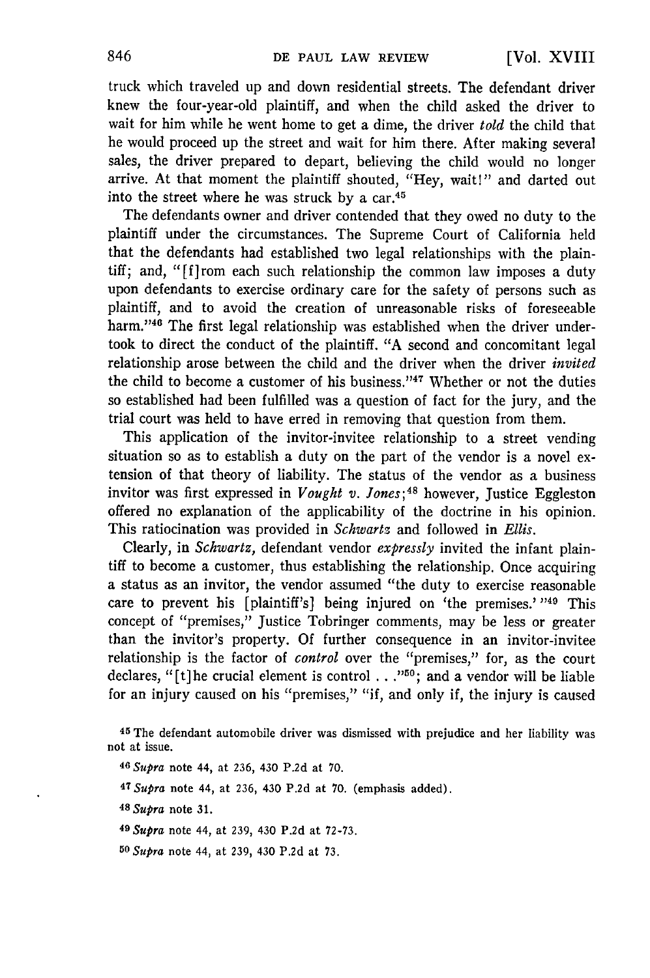truck which traveled up and down residential streets. The defendant driver knew the four-year-old plaintiff, and when the child asked the driver to wait for him while he went home to get a dime, the driver *told* the child that he would proceed up the street and wait for him there. After making several sales, the driver prepared to depart, believing the child would no longer arrive. At that moment the plaintiff shouted, "Hey, wait!" and darted out into the street where he was struck by a  $car<sup>45</sup>$ .

The defendants owner and driver contended that they owed no duty to the plaintiff under the circumstances. The Supreme Court of California held that the defendants had established two legal relationships with the plaintiff; and, "[f]rom each such relationship the common law imposes a duty upon defendants to exercise ordinary care for the safety of persons such as plaintiff, and to avoid the creation of unreasonable risks of foreseeable harm."<sup>46</sup> The first legal relationship was established when the driver undertook to direct the conduct of the plaintiff. "A second and concomitant legal relationship arose between the child and the driver when the driver *invited* the child to become a customer of his business."<sup>47</sup> Whether or not the duties so established had been fulfilled was a question of fact for the jury, and the trial court was held to have erred in removing that question from them.

This application of the invitor-invitee relationship to a street vending situation so as to establish a duty on the part of the vendor is a novel extension of that theory of liability. The status of the vendor as a business invitor was first expressed in *Vought v. Jones*;<sup>48</sup> however, Justice Eggleston offered no explanation of the applicability of the doctrine in his opinion. This ratiocination was provided in *Schwartz* and followed in *Ellis.*

Clearly, in *Schwartz,* defendant vendor *expressly* invited the infant plaintiff to become a customer, thus establishing the relationship. Once acquiring a status as an invitor, the vendor assumed "the duty to exercise reasonable care to prevent his [plaintiff's] being injured on 'the premises.' **49** This concept of "premises," Justice Tobringer comments, may be less or greater than the invitor's property. Of further consequence in an invitor-invitee relationship is the factor of *control* over the "premises," for, as the court declares, "[t]he crucial element is control **. . .";** and a vendor will be liable for an injury caused on his "premises," "if, and only if, the injury is caused

- **<sup>47</sup>***Supra* note 44, at **236,** 430 **P.2d** at **70.** (emphasis added).
- *<sup>4</sup> <sup>8</sup> Supra* note **31.**
- *<sup>4</sup> <sup>9</sup> Supra* note 44, at 239, 430 P.2d at 72-73.
- *<sup>50</sup>Supra* note 44, at 239, 430 P.2d at 73.

**<sup>45</sup>**The defendant automobile driver was dismissed with prejudice and her liability was not at issue.

**<sup>46</sup>** *Supra* note 44, at 236, 430 P.2d at 70.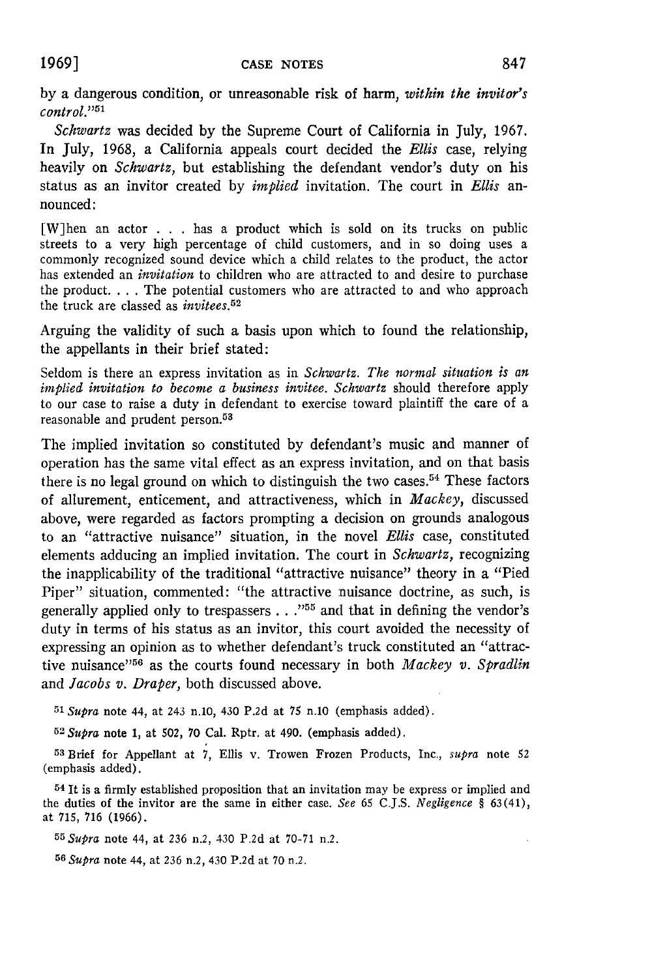by a dangerous condition, or unreasonable risk of harm, *within the invitor's*  $control$ ."<sup>51</sup>

*Schwartz* was decided by the Supreme Court of California in July, 1967. In July, 1968, a California appeals court decided the *Ellis* case, relying heavily on *Schwartz,* but establishing the defendant vendor's duty on his status as an invitor created by *implied* invitation. The court in *Ellis* announced:

[W]hen an actor . . . has a product which is sold on its trucks on public streets to a very high percentage of child customers, and in so doing uses a commonly recognized sound device which a child relates to the product, the actor has extended an *invitation* to children who are attracted to and desire to purchase the product. . **.** . The potential customers who are attracted to and who approach the truck are classed as *invitees.52*

Arguing the validity of such a basis upon which to found the relationship, the appellants in their brief stated:

Seldom is there an express invitation as in *Schwartz. The normal situation is an implied invitation to become a business invitee. Schwartz* should therefore apply to our case to raise a duty in defendant to exercise toward plaintiff the care of a reasonable and prudent person.<sup>53</sup>

The implied invitation so constituted by defendant's music and manner of operation has the same vital effect as an express invitation, and on that basis there is no legal ground on which to distinguish the two cases.<sup>54</sup> These factors of allurement, enticement, and attractiveness, which in *Mackey,* discussed above, were regarded as factors prompting a decision on grounds analogous to an "attractive nuisance" situation, in the novel *Ellis* case, constituted elements adducing an implied invitation. The court in *Schwartz,* recognizing the inapplicability of the traditional "attractive nuisance" theory in a "Pied Piper" situation, commented: "the attractive nuisance doctrine, as such, is generally applied only to trespassers . . .<sup>755</sup> and that in defining the vendor's duty in terms of his status as an invitor, this court avoided the necessity of expressing an opinion as to whether defendant's truck constituted an "attractive nuisance"56 as the courts found necessary in both *Mackey v. Spradlin* and *Jacobs v. Draper,* both discussed above.

*<sup>51</sup>Supra* note 44, at 243 n.1o, 430 P.2d at **75** n.10 (emphasis added).

*52 Supra* note **1,** at 502, 70 Cal. Rptr. at 490. (emphasis added).

**<sup>53</sup>**Brief for Appellant at 7, Ellis v. Trowen Frozen Products, Inc., *supra* note 52 (emphasis added).

**<sup>54</sup>**It is a firmly established proposition that an invitation may be express or implied and the duties of the invitor are the same in either case. *See* 65 C.J.S. *Negligence §* 63(41), at 715, 716 (1966).

*<sup>5</sup> <sup>5</sup> Supra* note 44, at 236 n.2, 430 P.2d at 70-71 n.2.

**56** *Supra* note 44, at 236 n.2, 430 P.2d at 70 n.2.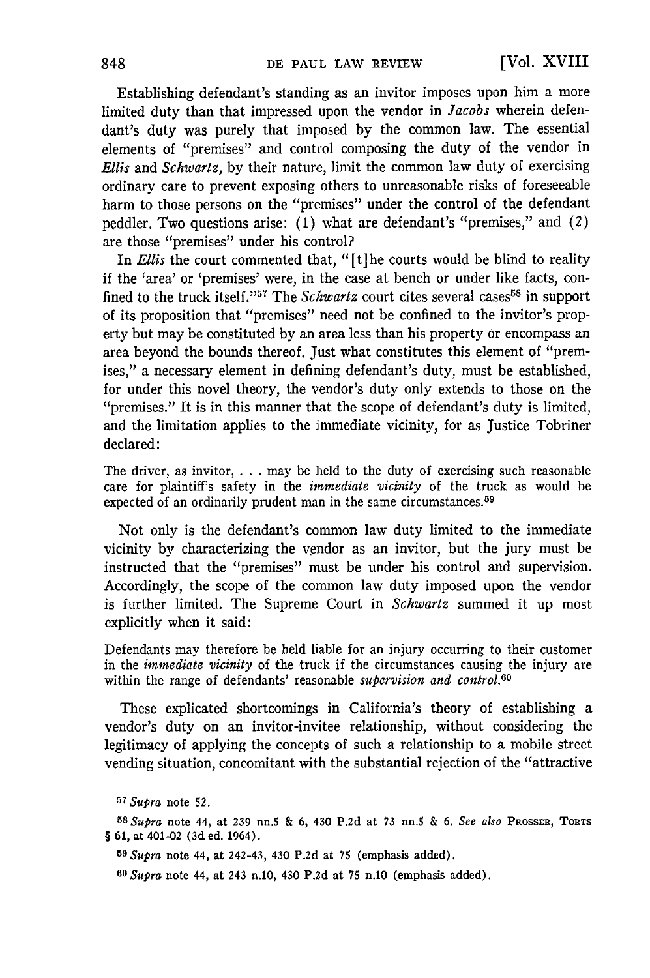Establishing defendant's standing as an invitor imposes upon him a more limited duty than that impressed upon the vendor in *Jacobs* wherein defendant's duty was purely that imposed by the common law. The essential elements of "premises" and control composing the duty of the vendor in *Ellis* and *Schwartz,* by their nature, limit the common law duty of exercising ordinary care to prevent exposing others to unreasonable risks of foreseeable harm to those persons on the "premises" under the control of the defendant peddler. Two questions arise: (1) what are defendant's "premises," and *(2)* are those "premises" under his control?

In *Ellis* the court commented that, "[t] he courts would be blind to reality if the 'area' or 'premises' were, in the case at bench or under like facts, confined to the truck itself."<sup>57</sup> The *Schwartz* court cites several cases<sup>58</sup> in support of its proposition that "premises" need not be confined to the invitor's property but may be constituted by an area less than his property or encompass an area beyond the bounds thereof. Just what constitutes this element of "premises," a necessary element in defining defendant's duty, must be established, for under this novel theory, the vendor's duty only extends to those on the "premises." It is in this manner that the scope of defendant's duty is limited, and the limitation applies to the immediate vicinity, for as Justice Tobriner declared:

The driver, as invitor,  $\dots$  may be held to the duty of exercising such reasonable care for plaintiff's safety in the *immediate vicinity* of the truck as would be expected of an ordinarily prudent man in the same circumstances.<sup>59</sup>

Not only is the defendant's common law duty limited to the immediate vicinity by characterizing the vendor as an invitor, but the jury must be instructed that the "premises" must be under his control and supervision. Accordingly, the scope of the common law duty imposed upon the vendor is further limited. The Supreme Court in *Schwartz* summed it up most explicitly when it said:

Defendants may therefore be held liable for an injury occurring to their customer in the *immediate vicinity* of the truck if the circumstances causing the injury are within the range of defendants' reasonable *supervision and control.60*

These explicated shortcomings in California's theory of establishing a vendor's duty on an invitor-invitee relationship, without considering the legitimacy of applying the concepts of such a relationship to a mobile street vending situation, concomitant with the substantial rejection of the "attractive

**<sup>57</sup>***Supra* note 52.

*5sSupra* note 44, at 239 nn.5 & 6, 430 P.2d at 73 nn.5 & **6.** *See also* PROSSzR, TORTS § **61,** at 401-02 (3d ed. 1964).

**59** *Supra* note 44, at 242-43, 430 P.2d at 75 (emphasis added).

**<sup>60</sup>***Supra* note 44, at 243 n.10, 430 P.2d at 75 n.10 (emphasis added).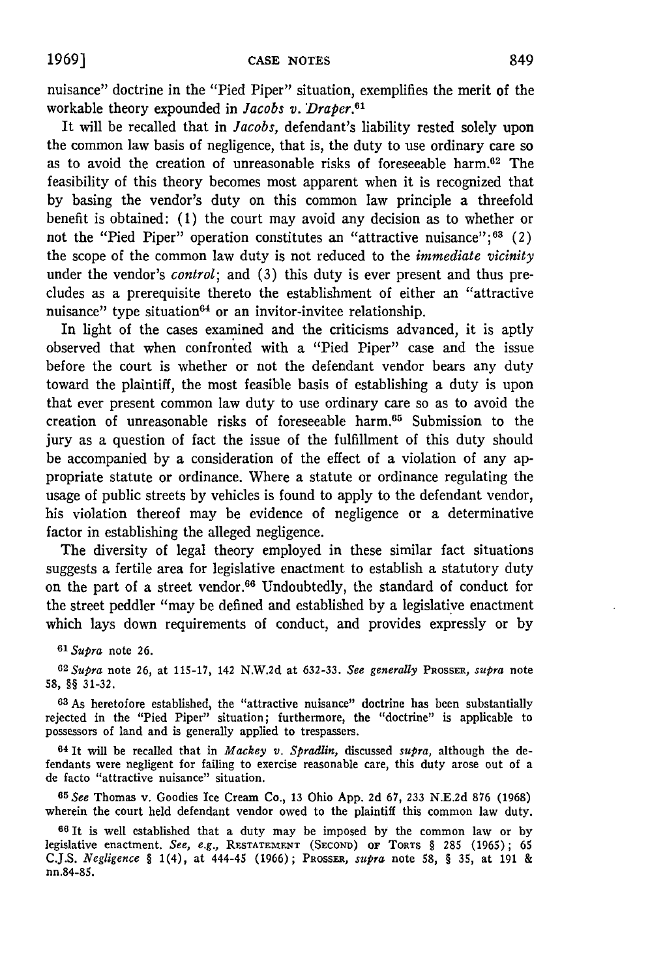nuisance" doctrine in the "Pied Piper" situation, exemplifies the merit of the workable theory expounded in *Jacobs v. Draper.61*

It will be recalled that in *Jacobs,* defendant's liability rested solely upon the common law basis of negligence, that is, the duty to use ordinary care so as to avoid the creation of unreasonable risks of foreseeable harm.<sup>62</sup> The feasibility of this theory becomes most apparent when it is recognized that by basing the vendor's duty on this common law principle a threefold benefit is obtained: (1) the court may avoid any decision as to whether or not the "Pied Piper" operation constitutes an "attractive nuisance";  $63$  (2) the scope of the common law duty is not reduced to the *immediate vicinity* under the vendor's *control*; and (3) this duty is ever present and thus precludes as a prerequisite thereto the establishment of either an "attractive nuisance" type situation $64$  or an invitor-invitee relationship.

In light of the cases examined and the criticisms advanced, it is aptly observed that when confronted with a "Pied Piper" case and the issue before the court is whether or not the defendant vendor bears any duty toward the plaintiff, the most feasible basis of establishing a duty is upon that ever present common law duty to use ordinary care so as to avoid the creation of unreasonable risks of foreseeable harm.65 Submission to the jury as a question of fact the issue of the fulfillment of this duty should be accompanied by a consideration of the effect of a violation of any appropriate statute or ordinance. Where a statute or ordinance regulating the usage of public streets by vehicles is found to apply to the defendant vendor, his violation thereof may be evidence of negligence or a determinative factor in establishing the alleged negligence.

The diversity of legal theory employed in these similar fact situations suggests a fertile area for legislative enactment to establish a statutory duty on the part of a street vendor.<sup>66</sup> Undoubtedly, the standard of conduct for the street peddler "may be defined and established by a legislative enactment which lays down requirements of conduct, and provides expressly or by

*<sup>61</sup> Supra* note **26.**

<sup>62</sup>*Supra* note 26, at 115-17, 142 N.W.2d at **632-33.** *See generally* PROSSER, *supra* note **58, §§** 31-32.

**63** As heretofore established, the "attractive nuisance" doctrine has been substantially rejected in the "Pied Piper" situation; furthermore, the "doctrine" is applicable to possessors of land and is generally applied to trespassers.

**64** It will be recalled that in *Mackey v. Spradlin,* discussed *supra,* although the defendants were negligent for failing to exercise reasonable care, this duty arose out of a de facto "attractive nuisance" situation.

**65** *See* Thomas v. Goodies Ice Cream Co., 13 Ohio App. 2d 67, 233 N.E.2d 876 (1968) wherein the court held defendant vendor owed to the plaintiff this common law duty.

**66** It is well established that a duty may be imposed by the common law or by legislative enactment. *See, e.g.,* **RESTATEMENT (SECOND) OF TORTS** § 285 (1965); 65 **C.J.S.** *Negligence §* 1(4), at 444-45 **(1966);** PROSSER, *supra* note **58,** § **35,** at **191** & nn.84-85.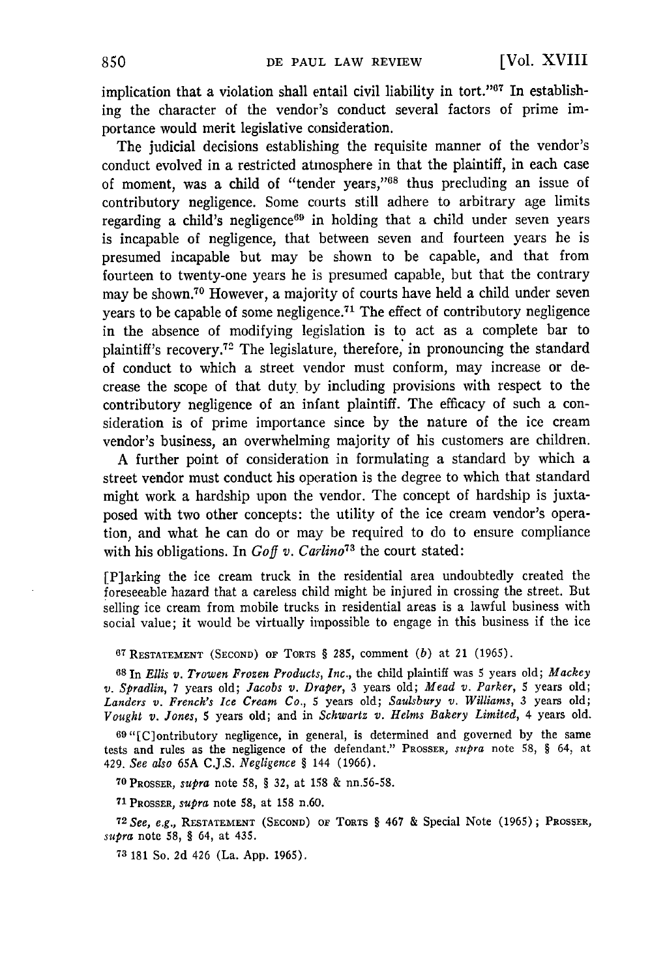implication that a violation shall entail civil liability in tort."<sup>67</sup> In establishing the character of the vendor's conduct several factors of prime importance would merit legislative consideration.

The judicial decisions establishing the requisite manner of the vendor's conduct evolved in a restricted atmosphere in that the plaintiff, in each case of moment, was a child of "tender years,"<sup>68</sup> thus precluding an issue of contributory negligence. Some courts still adhere to arbitrary age limits regarding a child's negligence $69$  in holding that a child under seven years is incapable of negligence, that between seven and fourteen years he is presumed incapable but may be shown to be capable, and that from fourteen to twenty-one years he is presumed capable, but that the contrary may be shown.<sup>70</sup> However, a majority of courts have held a child under sever years to be capable of some negligence. 71 The effect of contributory negligence in the absence of modifying legislation is to act as a complete bar to plaintiff's recovery.72 The legislature, therefore, in pronouncing the standard of conduct to which a street vendor must conform, may increase or decrease the scope of that duty by including provisions with respect to the contributory negligence of an infant plaintiff. The efficacy of such a consideration is of prime importance since by the nature of the ice cream vendor's business, an overwhelming majority of his customers are children.

A further point of consideration in formulating a standard by which a street vendor must conduct his operation is the degree to which that standard might work a hardship upon the vendor. The concept of hardship is juxtaposed with two other concepts: the utility of the ice cream vendor's operation, and what he can do or may be required to do to ensure compliance with his obligations. In *Goff v. Carlino73* the court stated:

[P]arking the ice cream truck in the residential area undoubtedly created the foreseeable hazard that a careless child might be injured in crossing the street. But selling ice cream from mobile trucks in residential areas is a lawful business with social value; it would be virtually impossible to engage in this business if the ice

**<sup>67</sup>**RESTATEMENT (SECOND) OF TORTS § 285, comment *(b)* at 21 (1965).

**<sup>68</sup>**In *Ellis v. Trowen Frozen Products, Inc.,* the child plaintiff was 5 years old; *Mackey v. Spradlin,* 7 years old; *Jacobs v. Draper,* 3 years old; *Mead v. Parker,* 5 years old; *Landers v. French's Ice Cream Co.,* 5 years old; *Saulsbury v. Williams,* 3 years old; *Vought v. Jones,* 5 years old; and in *Schwartz v. Helms Bakery Limited,* 4 years old.

69"[C]ontributory negligence, in general, is determined and governed by the same tests and rules as the negligence of the defendant." PROSSER, *supra* note 58, § 64, at 429. *See also* 65A C.J.S. *Negligence §* 144 (1966).

**<sup>70</sup>**PROSSER, *supra* note 58, § 32, at 158 & nn.56-58.

**<sup>71</sup>**PROSSER, *supra* note 58, at 158 n.60.

**72** *See, e.g.,* RESTATEMENT **(SECOND) OF** TORTS § 467 & Special Note (1965); PROSSER, *supra* note 58, § 64, at 435.

**<sup>73</sup>**181 So. 2d 426 (La. App. 1965).